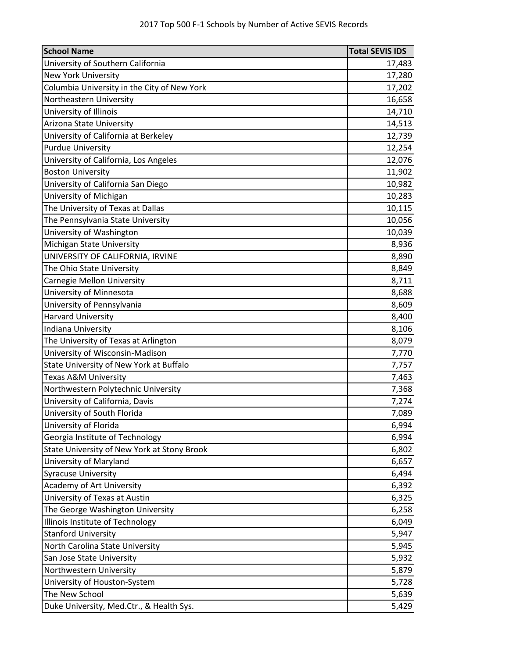| <b>School Name</b>                          | <b>Total SEVIS IDS</b> |
|---------------------------------------------|------------------------|
| University of Southern California           | 17,483                 |
| <b>New York University</b>                  | 17,280                 |
| Columbia University in the City of New York | 17,202                 |
| Northeastern University                     | 16,658                 |
| University of Illinois                      | 14,710                 |
| Arizona State University                    | 14,513                 |
| University of California at Berkeley        | 12,739                 |
| <b>Purdue University</b>                    | 12,254                 |
| University of California, Los Angeles       | 12,076                 |
| <b>Boston University</b>                    | 11,902                 |
| University of California San Diego          | 10,982                 |
| University of Michigan                      | 10,283                 |
| The University of Texas at Dallas           | 10,115                 |
| The Pennsylvania State University           | 10,056                 |
| University of Washington                    | 10,039                 |
| Michigan State University                   | 8,936                  |
| UNIVERSITY OF CALIFORNIA, IRVINE            | 8,890                  |
| The Ohio State University                   | 8,849                  |
| <b>Carnegie Mellon University</b>           | 8,711                  |
| University of Minnesota                     | 8,688                  |
| University of Pennsylvania                  | 8,609                  |
| <b>Harvard University</b>                   | 8,400                  |
| Indiana University                          | 8,106                  |
| The University of Texas at Arlington        | 8,079                  |
| University of Wisconsin-Madison             | 7,770                  |
| State University of New York at Buffalo     | 7,757                  |
| <b>Texas A&amp;M University</b>             | 7,463                  |
| Northwestern Polytechnic University         | 7,368                  |
| University of California, Davis             | 7,274                  |
| University of South Florida                 | 7,089                  |
| University of Florida                       | 6,994                  |
| Georgia Institute of Technology             | 6,994                  |
| State University of New York at Stony Brook | 6,802                  |
| University of Maryland                      | 6,657                  |
| <b>Syracuse University</b>                  | 6,494                  |
| Academy of Art University                   | 6,392                  |
| University of Texas at Austin               | 6,325                  |
| The George Washington University            | 6,258                  |
| Illinois Institute of Technology            | 6,049                  |
| <b>Stanford University</b>                  | 5,947                  |
| North Carolina State University             | 5,945                  |
| San Jose State University                   | 5,932                  |
| Northwestern University                     | 5,879                  |
| University of Houston-System                | 5,728                  |
| The New School                              | 5,639                  |
| Duke University, Med.Ctr., & Health Sys.    | 5,429                  |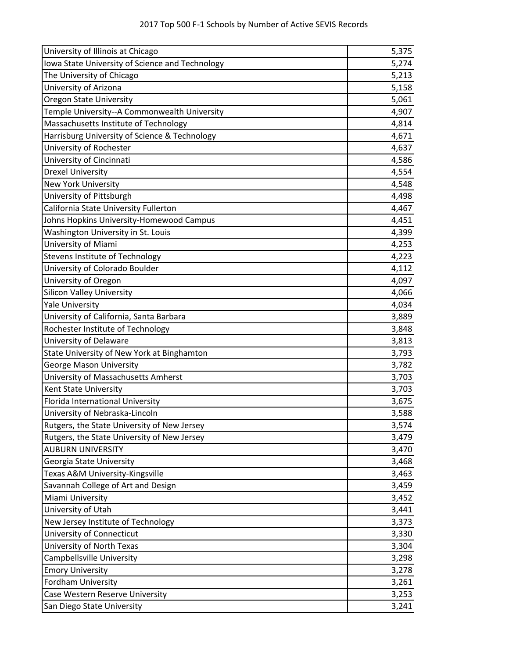| University of Illinois at Chicago               | 5,375 |
|-------------------------------------------------|-------|
| Iowa State University of Science and Technology | 5,274 |
| The University of Chicago                       | 5,213 |
| University of Arizona                           | 5,158 |
| <b>Oregon State University</b>                  | 5,061 |
| Temple University--A Commonwealth University    | 4,907 |
| Massachusetts Institute of Technology           | 4,814 |
| Harrisburg University of Science & Technology   | 4,671 |
| University of Rochester                         | 4,637 |
| University of Cincinnati                        | 4,586 |
| <b>Drexel University</b>                        | 4,554 |
| <b>New York University</b>                      | 4,548 |
| University of Pittsburgh                        | 4,498 |
| California State University Fullerton           | 4,467 |
| Johns Hopkins University-Homewood Campus        | 4,451 |
| Washington University in St. Louis              | 4,399 |
| University of Miami                             | 4,253 |
| <b>Stevens Institute of Technology</b>          | 4,223 |
| University of Colorado Boulder                  | 4,112 |
| University of Oregon                            | 4,097 |
| <b>Silicon Valley University</b>                | 4,066 |
| <b>Yale University</b>                          | 4,034 |
| University of California, Santa Barbara         | 3,889 |
| Rochester Institute of Technology               | 3,848 |
| University of Delaware                          | 3,813 |
| State University of New York at Binghamton      | 3,793 |
| <b>George Mason University</b>                  | 3,782 |
| University of Massachusetts Amherst             | 3,703 |
| Kent State University                           | 3,703 |
| Florida International University                | 3,675 |
| University of Nebraska-Lincoln                  | 3,588 |
| Rutgers, the State University of New Jersey     | 3,574 |
| Rutgers, the State University of New Jersey     | 3,479 |
| <b>AUBURN UNIVERSITY</b>                        | 3,470 |
| Georgia State University                        | 3,468 |
| Texas A&M University-Kingsville                 | 3,463 |
| Savannah College of Art and Design              | 3,459 |
| Miami University                                | 3,452 |
| University of Utah                              | 3,441 |
| New Jersey Institute of Technology              | 3,373 |
| University of Connecticut                       | 3,330 |
| University of North Texas                       | 3,304 |
| Campbellsville University                       | 3,298 |
| <b>Emory University</b>                         | 3,278 |
| <b>Fordham University</b>                       | 3,261 |
| Case Western Reserve University                 | 3,253 |
| San Diego State University                      | 3,241 |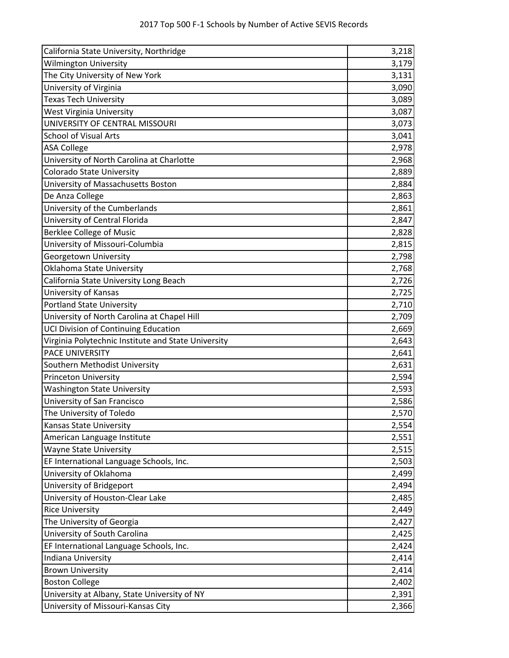| California State University, Northridge             | 3,218 |
|-----------------------------------------------------|-------|
| <b>Wilmington University</b>                        | 3,179 |
| The City University of New York                     | 3,131 |
| University of Virginia                              | 3,090 |
| Texas Tech University                               | 3,089 |
| West Virginia University                            | 3,087 |
| UNIVERSITY OF CENTRAL MISSOURI                      | 3,073 |
| <b>School of Visual Arts</b>                        | 3,041 |
| <b>ASA College</b>                                  | 2,978 |
| University of North Carolina at Charlotte           | 2,968 |
| Colorado State University                           | 2,889 |
| University of Massachusetts Boston                  | 2,884 |
| De Anza College                                     | 2,863 |
| University of the Cumberlands                       | 2,861 |
| University of Central Florida                       | 2,847 |
| <b>Berklee College of Music</b>                     | 2,828 |
| University of Missouri-Columbia                     | 2,815 |
| Georgetown University                               | 2,798 |
| Oklahoma State University                           | 2,768 |
| California State University Long Beach              | 2,726 |
| University of Kansas                                | 2,725 |
| <b>Portland State University</b>                    | 2,710 |
| University of North Carolina at Chapel Hill         | 2,709 |
| UCI Division of Continuing Education                | 2,669 |
| Virginia Polytechnic Institute and State University | 2,643 |
| PACE UNIVERSITY                                     | 2,641 |
| Southern Methodist University                       | 2,631 |
| <b>Princeton University</b>                         | 2,594 |
| <b>Washington State University</b>                  | 2,593 |
| University of San Francisco                         | 2,586 |
| The University of Toledo                            | 2,570 |
| Kansas State University                             | 2,554 |
| American Language Institute                         | 2,551 |
| <b>Wayne State University</b>                       | 2,515 |
| EF International Language Schools, Inc.             | 2,503 |
| University of Oklahoma                              | 2,499 |
| University of Bridgeport                            | 2,494 |
| University of Houston-Clear Lake                    | 2,485 |
| <b>Rice University</b>                              | 2,449 |
| The University of Georgia                           | 2,427 |
| University of South Carolina                        | 2,425 |
| EF International Language Schools, Inc.             | 2,424 |
| Indiana University                                  | 2,414 |
| <b>Brown University</b>                             | 2,414 |
| <b>Boston College</b>                               | 2,402 |
| University at Albany, State University of NY        | 2,391 |
| University of Missouri-Kansas City                  | 2,366 |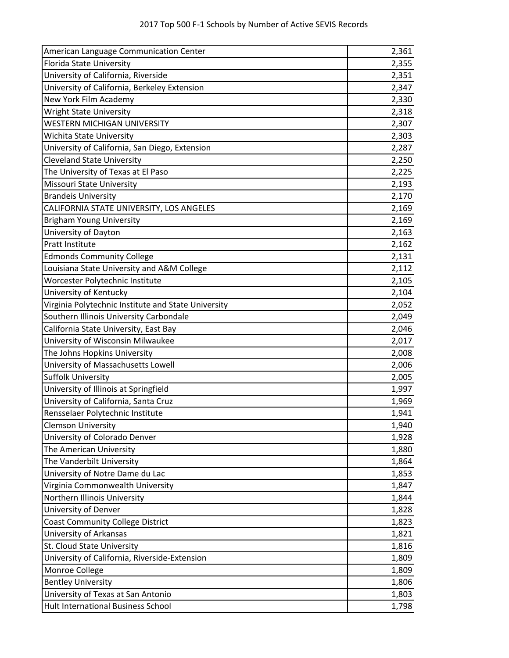| American Language Communication Center              | 2,361 |
|-----------------------------------------------------|-------|
| Florida State University                            | 2,355 |
| University of California, Riverside                 | 2,351 |
| University of California, Berkeley Extension        | 2,347 |
| New York Film Academy                               | 2,330 |
| <b>Wright State University</b>                      | 2,318 |
| <b>WESTERN MICHIGAN UNIVERSITY</b>                  | 2,307 |
| Wichita State University                            | 2,303 |
| University of California, San Diego, Extension      | 2,287 |
| <b>Cleveland State University</b>                   | 2,250 |
| The University of Texas at El Paso                  | 2,225 |
| Missouri State University                           | 2,193 |
| <b>Brandeis University</b>                          | 2,170 |
| CALIFORNIA STATE UNIVERSITY, LOS ANGELES            | 2,169 |
| <b>Brigham Young University</b>                     | 2,169 |
| University of Dayton                                | 2,163 |
| <b>Pratt Institute</b>                              | 2,162 |
| <b>Edmonds Community College</b>                    | 2,131 |
| Louisiana State University and A&M College          | 2,112 |
| Worcester Polytechnic Institute                     | 2,105 |
| University of Kentucky                              | 2,104 |
| Virginia Polytechnic Institute and State University | 2,052 |
| Southern Illinois University Carbondale             | 2,049 |
| California State University, East Bay               | 2,046 |
| University of Wisconsin Milwaukee                   | 2,017 |
| The Johns Hopkins University                        | 2,008 |
| University of Massachusetts Lowell                  | 2,006 |
| <b>Suffolk University</b>                           | 2,005 |
| University of Illinois at Springfield               | 1,997 |
| University of California, Santa Cruz                | 1,969 |
| Rensselaer Polytechnic Institute                    | 1,941 |
| <b>Clemson University</b>                           | 1,940 |
| University of Colorado Denver                       | 1,928 |
| The American University                             | 1,880 |
| The Vanderbilt University                           | 1,864 |
| University of Notre Dame du Lac                     | 1,853 |
| Virginia Commonwealth University                    | 1,847 |
| Northern Illinois University                        | 1,844 |
| University of Denver                                | 1,828 |
| <b>Coast Community College District</b>             | 1,823 |
| University of Arkansas                              | 1,821 |
| St. Cloud State University                          | 1,816 |
| University of California, Riverside-Extension       | 1,809 |
| Monroe College                                      | 1,809 |
| <b>Bentley University</b>                           | 1,806 |
| University of Texas at San Antonio                  | 1,803 |
| Hult International Business School                  | 1,798 |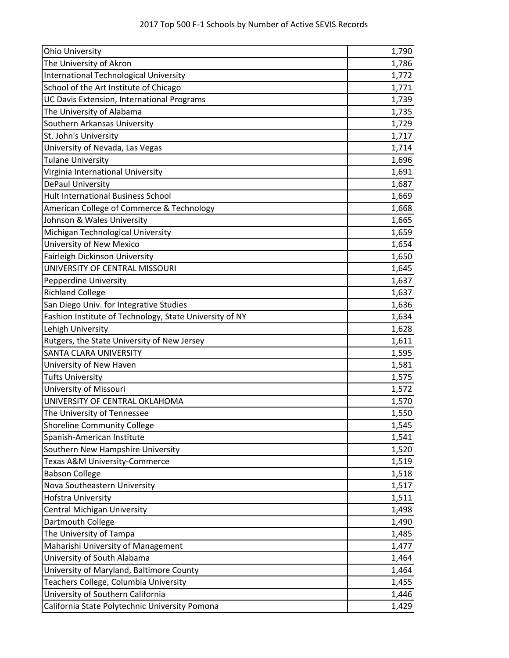| <b>Ohio University</b>                                  | 1,790 |
|---------------------------------------------------------|-------|
| The University of Akron                                 | 1,786 |
| <b>International Technological University</b>           | 1,772 |
| School of the Art Institute of Chicago                  | 1,771 |
| UC Davis Extension, International Programs              | 1,739 |
| The University of Alabama                               | 1,735 |
| Southern Arkansas University                            | 1,729 |
| St. John's University                                   | 1,717 |
| University of Nevada, Las Vegas                         | 1,714 |
| <b>Tulane University</b>                                | 1,696 |
| Virginia International University                       | 1,691 |
| DePaul University                                       | 1,687 |
| <b>Hult International Business School</b>               | 1,669 |
| American College of Commerce & Technology               | 1,668 |
| Johnson & Wales University                              | 1,665 |
| Michigan Technological University                       | 1,659 |
| University of New Mexico                                | 1,654 |
| Fairleigh Dickinson University                          | 1,650 |
| UNIVERSITY OF CENTRAL MISSOURI                          | 1,645 |
| <b>Pepperdine University</b>                            | 1,637 |
| <b>Richland College</b>                                 | 1,637 |
| San Diego Univ. for Integrative Studies                 | 1,636 |
| Fashion Institute of Technology, State University of NY | 1,634 |
| Lehigh University                                       | 1,628 |
| Rutgers, the State University of New Jersey             | 1,611 |
| <b>SANTA CLARA UNIVERSITY</b>                           | 1,595 |
| University of New Haven                                 | 1,581 |
| <b>Tufts University</b>                                 | 1,575 |
| University of Missouri                                  | 1,572 |
| UNIVERSITY OF CENTRAL OKLAHOMA                          | 1,570 |
| The University of Tennessee                             | 1,550 |
| <b>Shoreline Community College</b>                      | 1,545 |
| Spanish-American Institute                              | 1,541 |
| Southern New Hampshire University                       | 1,520 |
| Texas A&M University-Commerce                           | 1,519 |
| <b>Babson College</b>                                   | 1,518 |
| Nova Southeastern University                            | 1,517 |
| Hofstra University                                      | 1,511 |
| <b>Central Michigan University</b>                      | 1,498 |
| Dartmouth College                                       | 1,490 |
| The University of Tampa                                 | 1,485 |
| Maharishi University of Management                      | 1,477 |
| University of South Alabama                             | 1,464 |
| University of Maryland, Baltimore County                | 1,464 |
| Teachers College, Columbia University                   | 1,455 |
| University of Southern California                       | 1,446 |
| California State Polytechnic University Pomona          | 1,429 |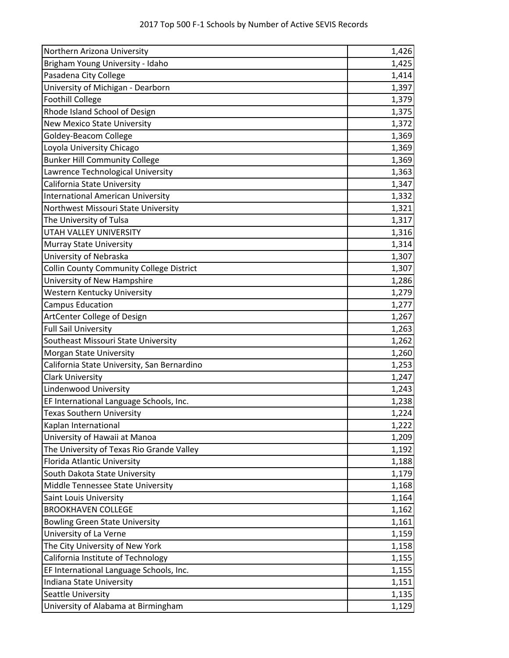| Northern Arizona University                     | 1,426 |
|-------------------------------------------------|-------|
| Brigham Young University - Idaho                | 1,425 |
| Pasadena City College                           | 1,414 |
| University of Michigan - Dearborn               | 1,397 |
| <b>Foothill College</b>                         | 1,379 |
| Rhode Island School of Design                   | 1,375 |
| <b>New Mexico State University</b>              | 1,372 |
| Goldey-Beacom College                           | 1,369 |
| Loyola University Chicago                       | 1,369 |
| <b>Bunker Hill Community College</b>            | 1,369 |
| Lawrence Technological University               | 1,363 |
| California State University                     | 1,347 |
| <b>International American University</b>        | 1,332 |
| Northwest Missouri State University             | 1,321 |
| The University of Tulsa                         | 1,317 |
| UTAH VALLEY UNIVERSITY                          | 1,316 |
| <b>Murray State University</b>                  | 1,314 |
| University of Nebraska                          | 1,307 |
| <b>Collin County Community College District</b> | 1,307 |
| University of New Hampshire                     | 1,286 |
| Western Kentucky University                     | 1,279 |
| <b>Campus Education</b>                         | 1,277 |
| ArtCenter College of Design                     | 1,267 |
| <b>Full Sail University</b>                     | 1,263 |
| Southeast Missouri State University             | 1,262 |
| Morgan State University                         | 1,260 |
| California State University, San Bernardino     | 1,253 |
| <b>Clark University</b>                         | 1,247 |
| Lindenwood University                           | 1,243 |
| EF International Language Schools, Inc.         | 1,238 |
| <b>Texas Southern University</b>                | 1,224 |
| Kaplan International                            | 1,222 |
| University of Hawaii at Manoa                   | 1,209 |
| The University of Texas Rio Grande Valley       | 1,192 |
| <b>Florida Atlantic University</b>              | 1,188 |
| South Dakota State University                   | 1,179 |
| Middle Tennessee State University               | 1,168 |
| Saint Louis University                          | 1,164 |
| <b>BROOKHAVEN COLLEGE</b>                       | 1,162 |
| <b>Bowling Green State University</b>           | 1,161 |
| University of La Verne                          | 1,159 |
| The City University of New York                 | 1,158 |
| California Institute of Technology              | 1,155 |
| EF International Language Schools, Inc.         | 1,155 |
| Indiana State University                        | 1,151 |
| Seattle University                              | 1,135 |
| University of Alabama at Birmingham             | 1,129 |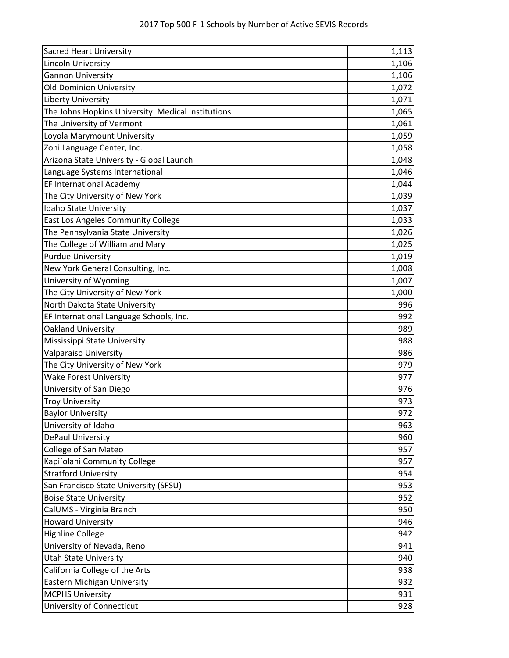| <b>Sacred Heart University</b>                     | 1,113 |
|----------------------------------------------------|-------|
| Lincoln University                                 | 1,106 |
| <b>Gannon University</b>                           | 1,106 |
| <b>Old Dominion University</b>                     | 1,072 |
| Liberty University                                 | 1,071 |
| The Johns Hopkins University: Medical Institutions | 1,065 |
| The University of Vermont                          | 1,061 |
| Loyola Marymount University                        | 1,059 |
| Zoni Language Center, Inc.                         | 1,058 |
| Arizona State University - Global Launch           | 1,048 |
| Language Systems International                     | 1,046 |
| EF International Academy                           | 1,044 |
| The City University of New York                    | 1,039 |
| <b>Idaho State University</b>                      | 1,037 |
| East Los Angeles Community College                 | 1,033 |
| The Pennsylvania State University                  | 1,026 |
| The College of William and Mary                    | 1,025 |
| <b>Purdue University</b>                           | 1,019 |
| New York General Consulting, Inc.                  | 1,008 |
| University of Wyoming                              | 1,007 |
| The City University of New York                    | 1,000 |
| North Dakota State University                      | 996   |
| EF International Language Schools, Inc.            | 992   |
| Oakland University                                 | 989   |
| Mississippi State University                       | 988   |
| Valparaiso University                              | 986   |
| The City University of New York                    | 979   |
| <b>Wake Forest University</b>                      | 977   |
| University of San Diego                            | 976   |
| <b>Troy University</b>                             | 973   |
| <b>Baylor University</b>                           | 972   |
| University of Idaho                                | 963   |
| DePaul University                                  | 960   |
| College of San Mateo                               | 957   |
| Kapi`olani Community College                       | 957   |
| <b>Stratford University</b>                        | 954   |
| San Francisco State University (SFSU)              | 953   |
| <b>Boise State University</b>                      | 952   |
| CalUMS - Virginia Branch                           | 950   |
| <b>Howard University</b>                           | 946   |
| <b>Highline College</b>                            | 942   |
| University of Nevada, Reno                         | 941   |
| <b>Utah State University</b>                       | 940   |
| California College of the Arts                     | 938   |
| Eastern Michigan University                        | 932   |
| <b>MCPHS University</b>                            | 931   |
| University of Connecticut                          | 928   |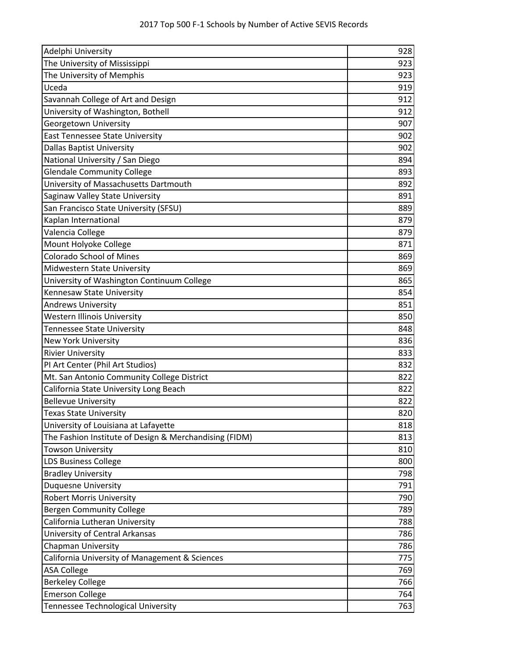| Adelphi University                                     | 928 |
|--------------------------------------------------------|-----|
| The University of Mississippi                          | 923 |
| The University of Memphis                              | 923 |
| Uceda                                                  | 919 |
| Savannah College of Art and Design                     | 912 |
| University of Washington, Bothell                      | 912 |
| Georgetown University                                  | 907 |
| <b>East Tennessee State University</b>                 | 902 |
| <b>Dallas Baptist University</b>                       | 902 |
| National University / San Diego                        | 894 |
| <b>Glendale Community College</b>                      | 893 |
| University of Massachusetts Dartmouth                  | 892 |
| Saginaw Valley State University                        | 891 |
| San Francisco State University (SFSU)                  | 889 |
| Kaplan International                                   | 879 |
| Valencia College                                       | 879 |
| Mount Holyoke College                                  | 871 |
| <b>Colorado School of Mines</b>                        | 869 |
| Midwestern State University                            | 869 |
| University of Washington Continuum College             | 865 |
| Kennesaw State University                              | 854 |
| <b>Andrews University</b>                              | 851 |
| <b>Western Illinois University</b>                     | 850 |
| <b>Tennessee State University</b>                      | 848 |
| <b>New York University</b>                             | 836 |
| <b>Rivier University</b>                               | 833 |
| PI Art Center (Phil Art Studios)                       | 832 |
| Mt. San Antonio Community College District             | 822 |
| California State University Long Beach                 | 822 |
| <b>Bellevue University</b>                             | 822 |
| <b>Texas State University</b>                          | 820 |
| University of Louisiana at Lafayette                   | 818 |
| The Fashion Institute of Design & Merchandising (FIDM) | 813 |
| <b>Towson University</b>                               | 810 |
| <b>LDS Business College</b>                            | 800 |
| <b>Bradley University</b>                              | 798 |
| <b>Duquesne University</b>                             | 791 |
| <b>Robert Morris University</b>                        | 790 |
| <b>Bergen Community College</b>                        | 789 |
| California Lutheran University                         | 788 |
| University of Central Arkansas                         | 786 |
| <b>Chapman University</b>                              | 786 |
| California University of Management & Sciences         | 775 |
| <b>ASA College</b>                                     | 769 |
| <b>Berkeley College</b>                                | 766 |
| <b>Emerson College</b>                                 | 764 |
| <b>Tennessee Technological University</b>              | 763 |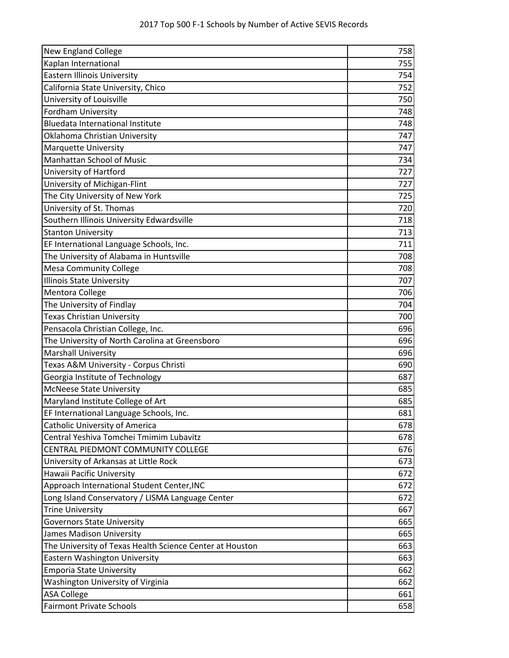| New England College                                      | 758 |
|----------------------------------------------------------|-----|
| Kaplan International                                     | 755 |
| <b>Eastern Illinois University</b>                       | 754 |
| California State University, Chico                       | 752 |
| University of Louisville                                 | 750 |
| Fordham University                                       | 748 |
| <b>Bluedata International Institute</b>                  | 748 |
| Oklahoma Christian University                            | 747 |
| <b>Marquette University</b>                              | 747 |
| <b>Manhattan School of Music</b>                         | 734 |
| University of Hartford                                   | 727 |
| University of Michigan-Flint                             | 727 |
| The City University of New York                          | 725 |
| University of St. Thomas                                 | 720 |
| Southern Illinois University Edwardsville                | 718 |
| <b>Stanton University</b>                                | 713 |
| EF International Language Schools, Inc.                  | 711 |
| The University of Alabama in Huntsville                  | 708 |
| <b>Mesa Community College</b>                            | 708 |
| <b>Illinois State University</b>                         | 707 |
| Mentora College                                          | 706 |
| The University of Findlay                                | 704 |
| <b>Texas Christian University</b>                        | 700 |
| Pensacola Christian College, Inc.                        | 696 |
| The University of North Carolina at Greensboro           | 696 |
| <b>Marshall University</b>                               | 696 |
| Texas A&M University - Corpus Christi                    | 690 |
| Georgia Institute of Technology                          | 687 |
| <b>McNeese State University</b>                          | 685 |
| Maryland Institute College of Art                        | 685 |
| EF International Language Schools, Inc.                  | 681 |
| Catholic University of America                           | 678 |
| Central Yeshiva Tomchei Tmimim Lubavitz                  | 678 |
| CENTRAL PIEDMONT COMMUNITY COLLEGE                       | 676 |
| University of Arkansas at Little Rock                    | 673 |
| Hawaii Pacific University                                | 672 |
| Approach International Student Center, INC               | 672 |
| Long Island Conservatory / LISMA Language Center         | 672 |
| <b>Trine University</b>                                  | 667 |
| <b>Governors State University</b>                        | 665 |
| James Madison University                                 | 665 |
| The University of Texas Health Science Center at Houston | 663 |
| Eastern Washington University                            | 663 |
| <b>Emporia State University</b>                          | 662 |
| Washington University of Virginia                        | 662 |
| <b>ASA College</b>                                       | 661 |
| <b>Fairmont Private Schools</b>                          | 658 |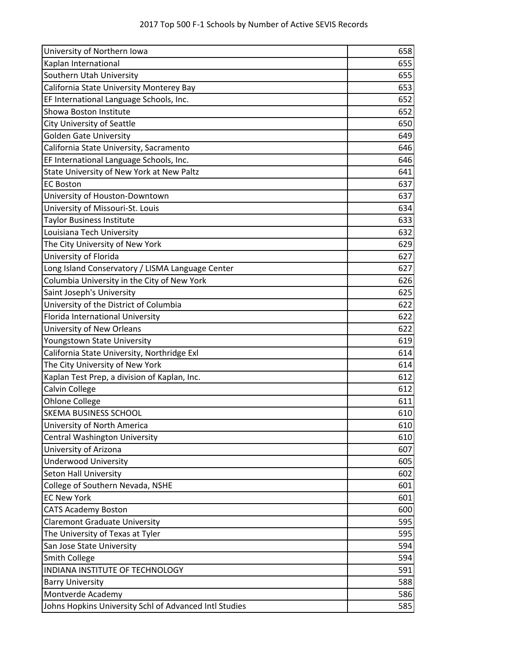| University of Northern Iowa                            | 658 |
|--------------------------------------------------------|-----|
| Kaplan International                                   | 655 |
| Southern Utah University                               | 655 |
| California State University Monterey Bay               | 653 |
| EF International Language Schools, Inc.                | 652 |
| Showa Boston Institute                                 | 652 |
| <b>City University of Seattle</b>                      | 650 |
| <b>Golden Gate University</b>                          | 649 |
| California State University, Sacramento                | 646 |
| EF International Language Schools, Inc.                | 646 |
| State University of New York at New Paltz              | 641 |
| <b>EC Boston</b>                                       | 637 |
| University of Houston-Downtown                         | 637 |
| University of Missouri-St. Louis                       | 634 |
| <b>Taylor Business Institute</b>                       | 633 |
| Louisiana Tech University                              | 632 |
| The City University of New York                        | 629 |
| University of Florida                                  | 627 |
| Long Island Conservatory / LISMA Language Center       | 627 |
| Columbia University in the City of New York            | 626 |
| Saint Joseph's University                              | 625 |
| University of the District of Columbia                 | 622 |
| Florida International University                       | 622 |
| University of New Orleans                              | 622 |
| Youngstown State University                            | 619 |
| California State University, Northridge Exl            | 614 |
| The City University of New York                        | 614 |
| Kaplan Test Prep, a division of Kaplan, Inc.           | 612 |
| Calvin College                                         | 612 |
| <b>Ohlone College</b>                                  | 611 |
| <b>SKEMA BUSINESS SCHOOL</b>                           | 610 |
| University of North America                            | 610 |
| <b>Central Washington University</b>                   | 610 |
| University of Arizona                                  | 607 |
| <b>Underwood University</b>                            | 605 |
| <b>Seton Hall University</b>                           | 602 |
| College of Southern Nevada, NSHE                       | 601 |
| <b>EC New York</b>                                     | 601 |
| <b>CATS Academy Boston</b>                             | 600 |
| <b>Claremont Graduate University</b>                   | 595 |
| The University of Texas at Tyler                       | 595 |
| San Jose State University                              | 594 |
| Smith College                                          | 594 |
| INDIANA INSTITUTE OF TECHNOLOGY                        | 591 |
| <b>Barry University</b>                                | 588 |
| Montverde Academy                                      | 586 |
| Johns Hopkins University Schl of Advanced Intl Studies | 585 |